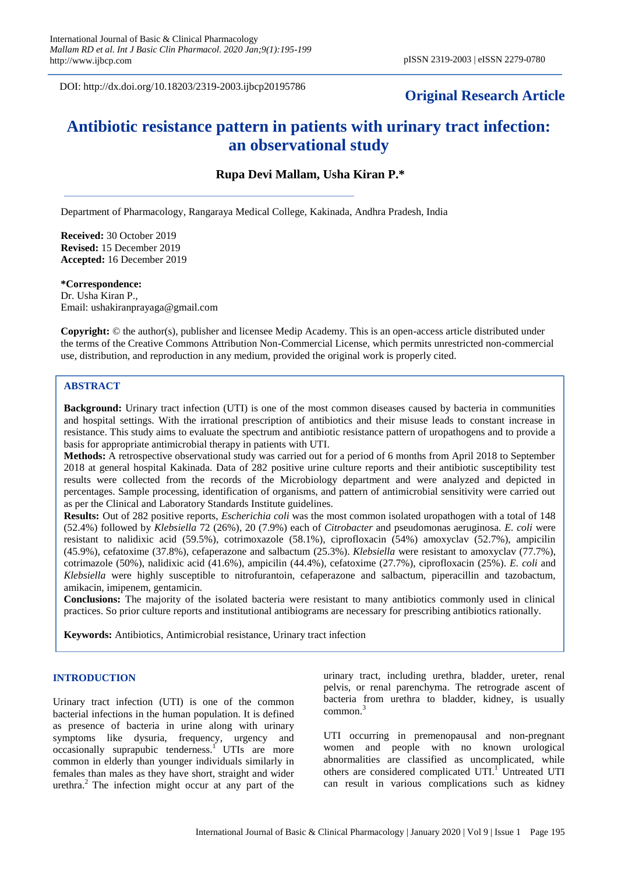DOI: http://dx.doi.org/10.18203/2319-2003.ijbcp20195786

## **Original Research Article**

# **Antibiotic resistance pattern in patients with urinary tract infection: an observational study**

**Rupa Devi Mallam, Usha Kiran P.\***

Department of Pharmacology, Rangaraya Medical College, Kakinada, Andhra Pradesh, India

**Received:** 30 October 2019 **Revised:** 15 December 2019 **Accepted:** 16 December 2019

**\*Correspondence:** Dr. Usha Kiran P.,

Email: ushakiranprayaga@gmail.com

**Copyright:** © the author(s), publisher and licensee Medip Academy. This is an open-access article distributed under the terms of the Creative Commons Attribution Non-Commercial License, which permits unrestricted non-commercial use, distribution, and reproduction in any medium, provided the original work is properly cited.

### **ABSTRACT**

**Background:** Urinary tract infection (UTI) is one of the most common diseases caused by bacteria in communities and hospital settings. With the irrational prescription of antibiotics and their misuse leads to constant increase in resistance. This study aims to evaluate the spectrum and antibiotic resistance pattern of uropathogens and to provide a basis for appropriate antimicrobial therapy in patients with UTI.

**Methods:** A retrospective observational study was carried out for a period of 6 months from April 2018 to September 2018 at general hospital Kakinada. Data of 282 positive urine culture reports and their antibiotic susceptibility test results were collected from the records of the Microbiology department and were analyzed and depicted in percentages. Sample processing, identification of organisms, and pattern of antimicrobial sensitivity were carried out as per the Clinical and Laboratory Standards Institute guidelines.

**Results:** Out of 282 positive reports, *Escherichia coli* was the most common isolated uropathogen with a total of 148 (52.4%) followed by *Klebsiella* 72 (26%), 20 (7.9%) each of *Citrobacter* and pseudomonas aeruginosa. *E. coli* were resistant to nalidixic acid (59.5%), cotrimoxazole (58.1%), ciprofloxacin (54%) amoxyclav (52.7%), ampicilin (45.9%), cefatoxime (37.8%), cefaperazone and salbactum (25.3%). *Klebsiella* were resistant to amoxyclav (77.7%), cotrimazole (50%), nalidixic acid (41.6%), ampicilin (44.4%), cefatoxime (27.7%), ciprofloxacin (25%). *E. coli* and *Klebsiella* were highly susceptible to nitrofurantoin, cefaperazone and salbactum, piperacillin and tazobactum, amikacin, imipenem, gentamicin.

**Conclusions:** The majority of the isolated bacteria were resistant to many antibiotics commonly used in clinical practices. So prior culture reports and institutional antibiograms are necessary for prescribing antibiotics rationally.

**Keywords:** Antibiotics, Antimicrobial resistance, Urinary tract infection

### **INTRODUCTION**

Urinary tract infection (UTI) is one of the common bacterial infections in the human population. It is defined as presence of bacteria in urine along with urinary symptoms like dysuria, frequency, urgency and occasionally suprapubic tenderness.<sup>1</sup> UTIs are more common in elderly than younger individuals similarly in females than males as they have short, straight and wider urethra.<sup>2</sup> The infection might occur at any part of the urinary tract, including urethra, bladder, ureter, renal pelvis, or renal parenchyma. The retrograde ascent of bacteria from urethra to bladder, kidney, is usually common. 3

UTI occurring in premenopausal and non-pregnant women and people with no known urological abnormalities are classified as uncomplicated, while others are considered complicated UTI.<sup>1</sup> Untreated UTI can result in various complications such as kidney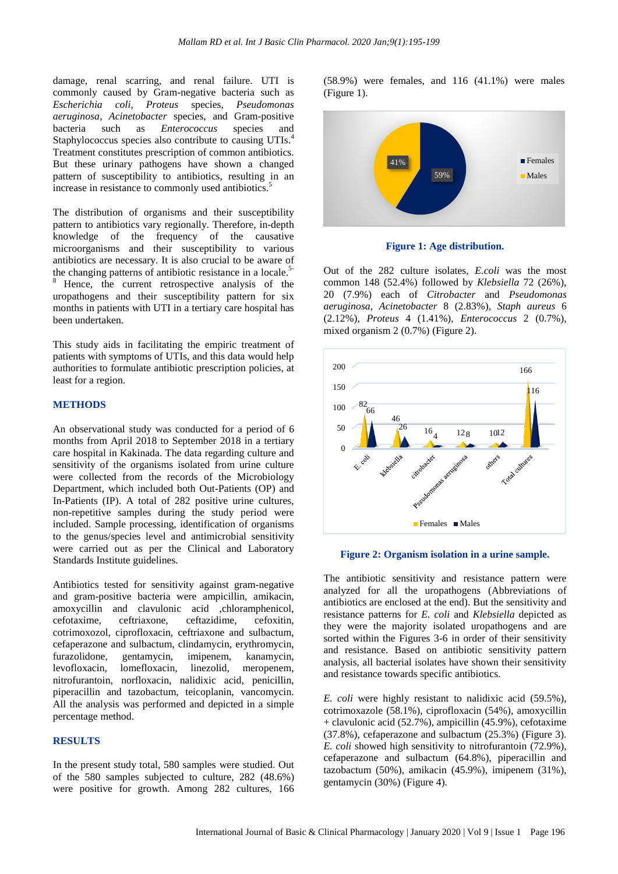damage, renal scarring, and renal failure. UTI is commonly caused by Gram-negative bacteria such as *Escherichia coli*, *Proteus* species, *Pseudomonas aeruginosa*, *Acinetobacter* species, and Gram-positive bacteria such as *Enterococcus* species and Staphylococcus species also contribute to causing UTIs.<sup>4</sup> Treatment constitutes prescription of common antibiotics. But these urinary pathogens have shown a changed pattern of susceptibility to antibiotics, resulting in an increase in resistance to commonly used antibiotics.<sup>5</sup>

The distribution of organisms and their susceptibility pattern to antibiotics vary regionally. Therefore, in-depth knowledge of the frequency of the causative microorganisms and their susceptibility to various antibiotics are necessary. It is also crucial to be aware of the changing patterns of antibiotic resistance in a locale. 5- <sup>8</sup> Hence, the current retrospective analysis of the uropathogens and their susceptibility pattern for six months in patients with UTI in a tertiary care hospital has been undertaken.

This study aids in facilitating the empiric treatment of patients with symptoms of UTIs, and this data would help authorities to formulate antibiotic prescription policies, at least for a region.

### **METHODS**

An observational study was conducted for a period of 6 months from April 2018 to September 2018 in a tertiary care hospital in Kakinada. The data regarding culture and sensitivity of the organisms isolated from urine culture were collected from the records of the Microbiology Department, which included both Out-Patients (OP) and In-Patients (IP). A total of 282 positive urine cultures, non-repetitive samples during the study period were included. Sample processing, identification of organisms to the genus/species level and antimicrobial sensitivity were carried out as per the Clinical and Laboratory Standards Institute guidelines.

Antibiotics tested for sensitivity against gram-negative and gram-positive bacteria were ampicillin, amikacin, amoxycillin and clavulonic acid ,chloramphenicol, cefotaxime, ceftriaxone, ceftazidime, cefoxitin, cotrimoxozol, ciprofloxacin, ceftriaxone and sulbactum, cefaperazone and sulbactum, clindamycin, erythromycin, furazolidone, gentamycin, imipenem, kanamycin, levofloxacin, lomefloxacin, linezolid, meropenem, nitrofurantoin, norfloxacin, nalidixic acid, penicillin, piperacillin and tazobactum, teicoplanin, vancomycin. All the analysis was performed and depicted in a simple percentage method.

### **RESULTS**

In the present study total, 580 samples were studied. Out of the 580 samples subjected to culture, 282 (48.6%) were positive for growth. Among 282 cultures, 166 (58.9%) were females, and 116 (41.1%) were males (Figure 1).



**Figure 1: Age distribution.**

Out of the 282 culture isolates, *E.coli* was the most common 148 (52.4%) followed by *Klebsiella* 72 (26%), 20 (7.9%) each of *Citrobacter* and *Pseudomonas aeruginosa*, *Acinetobacter* 8 (2.83%), *Staph aureus* 6 (2.12%), *Proteus* 4 (1.41%), *Enterococcus* 2 (0.7%), mixed organism 2 (0.7%) (Figure 2).



#### **Figure 2: Organism isolation in a urine sample.**

The antibiotic sensitivity and resistance pattern were analyzed for all the uropathogens (Abbreviations of antibiotics are enclosed at the end). But the sensitivity and resistance patterns for *E. coli* and *Klebsiella* depicted as they were the majority isolated uropathogens and are sorted within the Figures 3-6 in order of their sensitivity and resistance. Based on antibiotic sensitivity pattern analysis, all bacterial isolates have shown their sensitivity and resistance towards specific antibiotics.

*E. coli* were highly resistant to nalidixic acid (59.5%), cotrimoxazole (58.1%), ciprofloxacin (54%), amoxycillin  $+$  clavulonic acid (52.7%), ampicillin (45.9%), cefotaxime (37.8%), cefaperazone and sulbactum (25.3%) (Figure 3). *E. coli* showed high sensitivity to nitrofurantoin (72.9%), cefaperazone and sulbactum (64.8%), piperacillin and tazobactum (50%), amikacin (45.9%), imipenem (31%), gentamycin (30%) (Figure 4).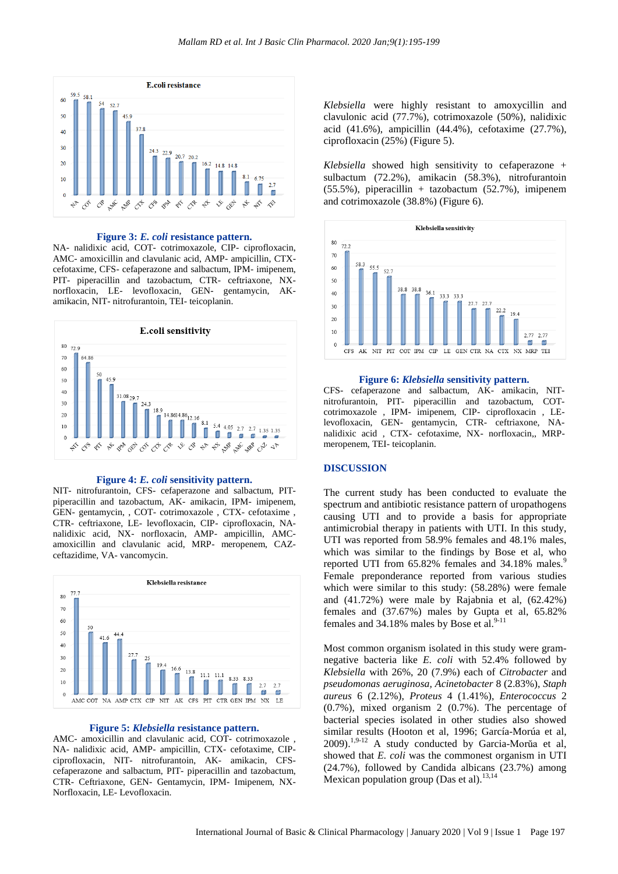

### **Figure 3:** *E. coli* **resistance pattern.**

NA- nalidixic acid, COT- cotrimoxazole, CIP- ciprofloxacin, AMC- amoxicillin and clavulanic acid, AMP- ampicillin, CTXcefotaxime, CFS- cefaperazone and salbactum, IPM- imipenem, PIT- piperacillin and tazobactum, CTR- ceftriaxone, NXnorfloxacin, LE- levofloxacin, GEN- gentamycin, AKamikacin, NIT- nitrofurantoin, TEI- teicoplanin.



#### **Figure 4:** *E. coli* **sensitivity pattern.**

NIT- nitrofurantoin, CFS- cefaperazone and salbactum, PITpiperacillin and tazobactum, AK- amikacin, IPM- imipenem, GEN- gentamycin, , COT- cotrimoxazole , CTX- cefotaxime , CTR- ceftriaxone, LE- levofloxacin, CIP- ciprofloxacin, NAnalidixic acid, NX- norfloxacin, AMP- ampicillin, AMCamoxicillin and clavulanic acid, MRP- meropenem, CAZceftazidime, VA- vancomycin.



#### **Figure 5:** *Klebsiella* **resistance pattern.**

AMC- amoxicillin and clavulanic acid, COT- cotrimoxazole , NA- nalidixic acid, AMP- ampicillin, CTX- cefotaxime, CIPciprofloxacin, NIT- nitrofurantoin, AK- amikacin, CFScefaperazone and salbactum, PIT- piperacillin and tazobactum, CTR- Ceftriaxone, GEN- Gentamycin, IPM- Imipenem, NX-Norfloxacin, LE- Levofloxacin.

*Klebsiella* were highly resistant to amoxycillin and clavulonic acid (77.7%), cotrimoxazole (50%), nalidixic acid (41.6%), ampicillin (44.4%), cefotaxime (27.7%), ciprofloxacin (25%) (Figure 5).

*Klebsiella* showed high sensitivity to cefaperazone + sulbactum (72.2%), amikacin (58.3%), nitrofurantoin  $(55.5\%)$ , piperacillin + tazobactum  $(52.7\%)$ , imipenem and cotrimoxazole (38.8%) (Figure 6).



#### **Figure 6:** *Klebsiella* **sensitivity pattern.**

CFS- cefaperazone and salbactum, AK- amikacin, NITnitrofurantoin, PIT- piperacillin and tazobactum, COTcotrimoxazole , IPM- imipenem, CIP- ciprofloxacin , LElevofloxacin, GEN- gentamycin, CTR- ceftriaxone, NAnalidixic acid , CTX- cefotaxime, NX- norfloxacin,, MRPmeropenem, TEI- teicoplanin.

#### **DISCUSSION**

The current study has been conducted to evaluate the spectrum and antibiotic resistance pattern of uropathogens causing UTI and to provide a basis for appropriate antimicrobial therapy in patients with UTI. In this study, UTI was reported from 58.9% females and 48.1% males, which was similar to the findings by Bose et al, who reported UTI from 65.82% females and 34.18% males.<sup>9</sup> Female preponderance reported from various studies which were similar to this study: (58.28%) were female and (41.72%) were male by Rajabnia et al, (62.42%) females and (37.67%) males by Gupta et al, 65.82% females and  $34.18\%$  males by Bose et al.<sup>9</sup>

Most common organism isolated in this study were gramnegative bacteria like *E. coli* with 52.4% followed by *Klebsiella* with 26%, 20 (7.9%) each of *Citrobacter* and *pseudomonas aeruginosa, Acinetobacter* 8 (2.83%), *Staph aureus* 6 (2.12%), *Proteus* 4 (1.41%), *Enterococcus* 2 (0.7%), mixed organism 2 (0.7%). The percentage of bacterial species isolated in other studies also showed similar results (Hooton et al, 1996; García-Morúa et al, 2009).<sup>1,9-12</sup> A study conducted by Garcia-Morŭa et al, showed that *E. coli* was the commonest organism in UTI (24.7%), followed by Candida albicans (23.7%) among Mexican population group (Das et al).<sup>13,14</sup>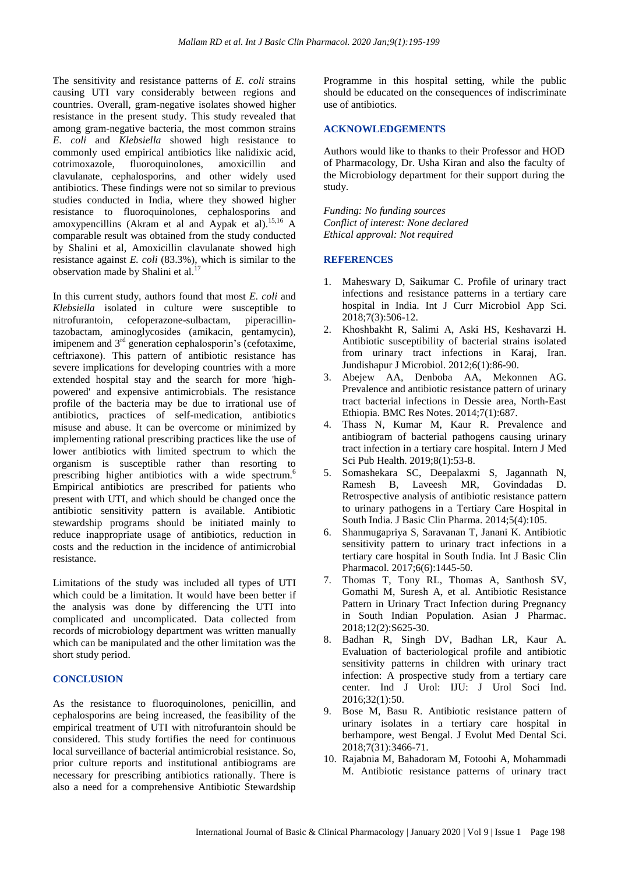The sensitivity and resistance patterns of *E. coli* strains causing UTI vary considerably between regions and countries. Overall, gram-negative isolates showed higher resistance in the present study. This study revealed that among gram-negative bacteria, the most common strains *E. coli* and *Klebsiella* showed high resistance to commonly used empirical antibiotics like nalidixic acid, cotrimoxazole, fluoroquinolones, amoxicillin and clavulanate, cephalosporins, and other widely used antibiotics. These findings were not so similar to previous studies conducted in India, where they showed higher resistance to fluoroquinolones, cephalosporins and amoxypencillins (Akram et al and Aypak et al). 15,16 A comparable result was obtained from the study conducted by Shalini et al, Amoxicillin clavulanate showed high resistance against *E. coli* (83.3%), which is similar to the observation made by Shalini et al.<sup>17</sup>

In this current study, authors found that most *E. coli* and *Klebsiella* isolated in culture were susceptible to nitrofurantoin, cefoperazone-sulbactam, piperacillintazobactam, aminoglycosides (amikacin, gentamycin), imipenem and  $3<sup>rd</sup>$  generation cephalosporin's (cefotaxime, ceftriaxone). This pattern of antibiotic resistance has severe implications for developing countries with a more extended hospital stay and the search for more 'highpowered' and expensive antimicrobials. The resistance profile of the bacteria may be due to irrational use of antibiotics, practices of self-medication, antibiotics misuse and abuse. It can be overcome or minimized by implementing rational prescribing practices like the use of lower antibiotics with limited spectrum to which the organism is susceptible rather than resorting to prescribing higher antibiotics with a wide spectrum.<sup>6</sup> Empirical antibiotics are prescribed for patients who present with UTI, and which should be changed once the antibiotic sensitivity pattern is available. Antibiotic stewardship programs should be initiated mainly to reduce inappropriate usage of antibiotics, reduction in costs and the reduction in the incidence of antimicrobial resistance.

Limitations of the study was included all types of UTI which could be a limitation. It would have been better if the analysis was done by differencing the UTI into complicated and uncomplicated. Data collected from records of microbiology department was written manually which can be manipulated and the other limitation was the short study period.

### **CONCLUSION**

As the resistance to fluoroquinolones, penicillin, and cephalosporins are being increased, the feasibility of the empirical treatment of UTI with nitrofurantoin should be considered. This study fortifies the need for continuous local surveillance of bacterial antimicrobial resistance. So, prior culture reports and institutional antibiograms are necessary for prescribing antibiotics rationally. There is also a need for a comprehensive Antibiotic Stewardship

Programme in this hospital setting, while the public should be educated on the consequences of indiscriminate use of antibiotics.

### **ACKNOWLEDGEMENTS**

Authors would like to thanks to their Professor and HOD of Pharmacology, Dr. Usha Kiran and also the faculty of the Microbiology department for their support during the study.

*Funding: No funding sources Conflict of interest: None declared Ethical approval: Not required*

### **REFERENCES**

- 1. Maheswary D, Saikumar C. Profile of urinary tract infections and resistance patterns in a tertiary care hospital in India. Int J Curr Microbiol App Sci. 2018;7(3):506-12.
- 2. Khoshbakht R, Salimi A, Aski HS, Keshavarzi H. Antibiotic susceptibility of bacterial strains isolated from urinary tract infections in Karaj, Iran. Jundishapur J Microbiol. 2012;6(1):86-90.
- 3. Abejew AA, Denboba AA, Mekonnen AG. Prevalence and antibiotic resistance pattern of urinary tract bacterial infections in Dessie area, North-East Ethiopia. BMC Res Notes. 2014;7(1):687.
- 4. Thass N, Kumar M, Kaur R. Prevalence and antibiogram of bacterial pathogens causing urinary tract infection in a tertiary care hospital. Intern J Med Sci Pub Health. 2019;8(1):53-8.
- 5. Somashekara SC, Deepalaxmi S, Jagannath N, Ramesh B, Laveesh MR, Govindadas D. Retrospective analysis of antibiotic resistance pattern to urinary pathogens in a Tertiary Care Hospital in South India. J Basic Clin Pharma. 2014;5(4):105.
- 6. Shanmugapriya S, Saravanan T, Janani K. Antibiotic sensitivity pattern to urinary tract infections in a tertiary care hospital in South India. Int J Basic Clin Pharmacol. 2017;6(6):1445-50.
- 7. Thomas T, Tony RL, Thomas A, Santhosh SV, Gomathi M, Suresh A, et al. Antibiotic Resistance Pattern in Urinary Tract Infection during Pregnancy in South Indian Population. Asian J Pharmac. 2018;12(2):S625-30.
- 8. Badhan R, Singh DV, Badhan LR, Kaur A. Evaluation of bacteriological profile and antibiotic sensitivity patterns in children with urinary tract infection: A prospective study from a tertiary care center. Ind J Urol: IJU: J Urol Soci Ind. 2016;32(1):50.
- 9. Bose M, Basu R. Antibiotic resistance pattern of urinary isolates in a tertiary care hospital in berhampore, west Bengal. J Evolut Med Dental Sci. 2018;7(31):3466-71.
- 10. Rajabnia M, Bahadoram M, Fotoohi A, Mohammadi M. Antibiotic resistance patterns of urinary tract